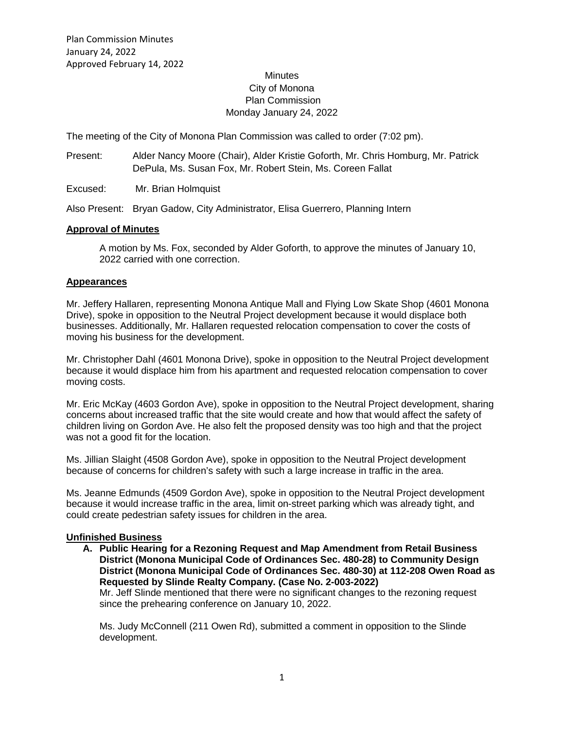### **Minutes** City of Monona Plan Commission Monday January 24, 2022

The meeting of the City of Monona Plan Commission was called to order (7:02 pm).

- Present: Alder Nancy Moore (Chair), Alder Kristie Goforth, Mr. Chris Homburg, Mr. Patrick DePula, Ms. Susan Fox, Mr. Robert Stein, Ms. Coreen Fallat
- Excused: Mr. Brian Holmquist

Also Present: Bryan Gadow, City Administrator, Elisa Guerrero, Planning Intern

#### **Approval of Minutes**

A motion by Ms. Fox, seconded by Alder Goforth, to approve the minutes of January 10, 2022 carried with one correction.

#### **Appearances**

Mr. Jeffery Hallaren, representing Monona Antique Mall and Flying Low Skate Shop (4601 Monona Drive), spoke in opposition to the Neutral Project development because it would displace both businesses. Additionally, Mr. Hallaren requested relocation compensation to cover the costs of moving his business for the development.

Mr. Christopher Dahl (4601 Monona Drive), spoke in opposition to the Neutral Project development because it would displace him from his apartment and requested relocation compensation to cover moving costs.

Mr. Eric McKay (4603 Gordon Ave), spoke in opposition to the Neutral Project development, sharing concerns about increased traffic that the site would create and how that would affect the safety of children living on Gordon Ave. He also felt the proposed density was too high and that the project was not a good fit for the location.

Ms. Jillian Slaight (4508 Gordon Ave), spoke in opposition to the Neutral Project development because of concerns for children's safety with such a large increase in traffic in the area.

Ms. Jeanne Edmunds (4509 Gordon Ave), spoke in opposition to the Neutral Project development because it would increase traffic in the area, limit on-street parking which was already tight, and could create pedestrian safety issues for children in the area.

#### **Unfinished Business**

**A. Public Hearing for a Rezoning Request and Map Amendment from Retail Business District (Monona Municipal Code of Ordinances Sec. 480-28) to Community Design District (Monona Municipal Code of Ordinances Sec. 480-30) at 112-208 Owen Road as Requested by Slinde Realty Company. (Case No. 2-003-2022)**

Mr. Jeff Slinde mentioned that there were no significant changes to the rezoning request since the prehearing conference on January 10, 2022.

Ms. Judy McConnell (211 Owen Rd), submitted a comment in opposition to the Slinde development.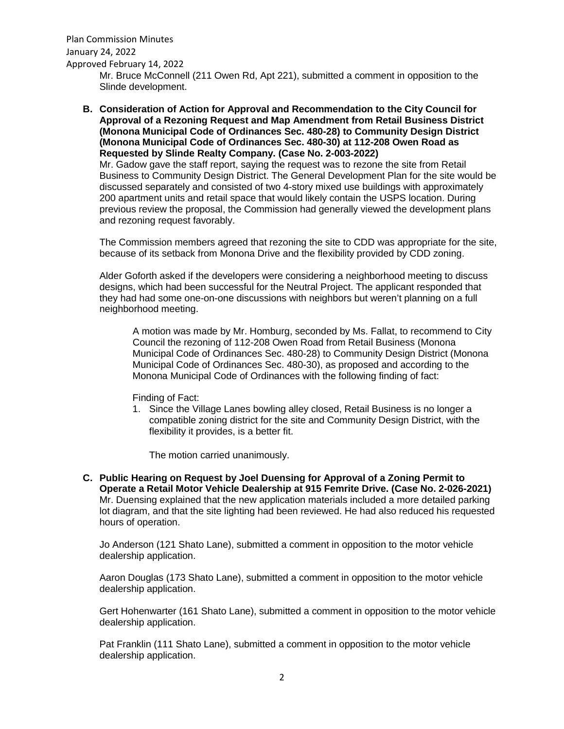Plan Commission Minutes January 24, 2022 Approved February 14, 2022 Mr. Bruce McConnell (211 Owen Rd, Apt 221), submitted a comment in opposition to the Slinde development.

**B. Consideration of Action for Approval and Recommendation to the City Council for Approval of a Rezoning Request and Map Amendment from Retail Business District (Monona Municipal Code of Ordinances Sec. 480-28) to Community Design District (Monona Municipal Code of Ordinances Sec. 480-30) at 112-208 Owen Road as Requested by Slinde Realty Company. (Case No. 2-003-2022)**

Mr. Gadow gave the staff report, saying the request was to rezone the site from Retail Business to Community Design District. The General Development Plan for the site would be discussed separately and consisted of two 4-story mixed use buildings with approximately 200 apartment units and retail space that would likely contain the USPS location. During previous review the proposal, the Commission had generally viewed the development plans and rezoning request favorably.

The Commission members agreed that rezoning the site to CDD was appropriate for the site, because of its setback from Monona Drive and the flexibility provided by CDD zoning.

Alder Goforth asked if the developers were considering a neighborhood meeting to discuss designs, which had been successful for the Neutral Project. The applicant responded that they had had some one-on-one discussions with neighbors but weren't planning on a full neighborhood meeting.

A motion was made by Mr. Homburg, seconded by Ms. Fallat, to recommend to City Council the rezoning of 112-208 Owen Road from Retail Business (Monona Municipal Code of Ordinances Sec. 480-28) to Community Design District (Monona Municipal Code of Ordinances Sec. 480-30), as proposed and according to the Monona Municipal Code of Ordinances with the following finding of fact:

Finding of Fact:

1. Since the Village Lanes bowling alley closed, Retail Business is no longer a compatible zoning district for the site and Community Design District, with the flexibility it provides, is a better fit.

The motion carried unanimously.

**C. Public Hearing on Request by Joel Duensing for Approval of a Zoning Permit to Operate a Retail Motor Vehicle Dealership at 915 Femrite Drive. (Case No. 2-026-2021)** Mr. Duensing explained that the new application materials included a more detailed parking lot diagram, and that the site lighting had been reviewed. He had also reduced his requested hours of operation.

Jo Anderson (121 Shato Lane), submitted a comment in opposition to the motor vehicle dealership application.

Aaron Douglas (173 Shato Lane), submitted a comment in opposition to the motor vehicle dealership application.

Gert Hohenwarter (161 Shato Lane), submitted a comment in opposition to the motor vehicle dealership application.

Pat Franklin (111 Shato Lane), submitted a comment in opposition to the motor vehicle dealership application.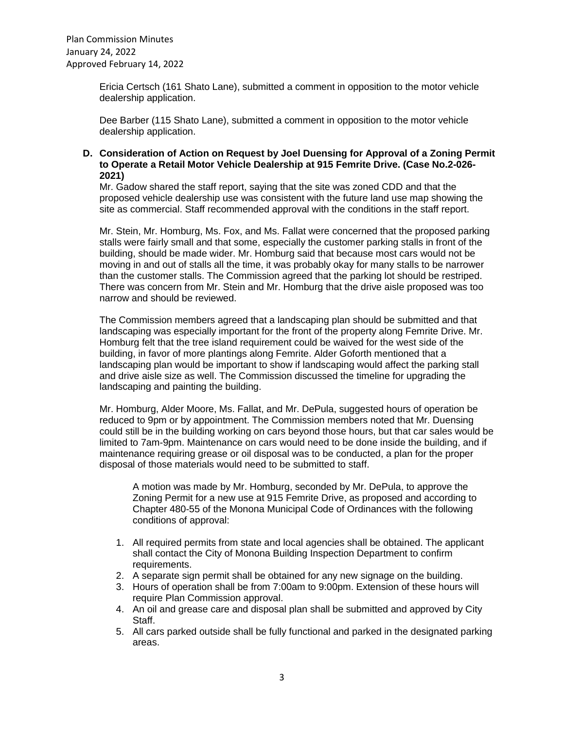Ericia Certsch (161 Shato Lane), submitted a comment in opposition to the motor vehicle dealership application.

Dee Barber (115 Shato Lane), submitted a comment in opposition to the motor vehicle dealership application.

### **D. Consideration of Action on Request by Joel Duensing for Approval of a Zoning Permit to Operate a Retail Motor Vehicle Dealership at 915 Femrite Drive. (Case No.2-026- 2021)**

Mr. Gadow shared the staff report, saying that the site was zoned CDD and that the proposed vehicle dealership use was consistent with the future land use map showing the site as commercial. Staff recommended approval with the conditions in the staff report.

Mr. Stein, Mr. Homburg, Ms. Fox, and Ms. Fallat were concerned that the proposed parking stalls were fairly small and that some, especially the customer parking stalls in front of the building, should be made wider. Mr. Homburg said that because most cars would not be moving in and out of stalls all the time, it was probably okay for many stalls to be narrower than the customer stalls. The Commission agreed that the parking lot should be restriped. There was concern from Mr. Stein and Mr. Homburg that the drive aisle proposed was too narrow and should be reviewed.

The Commission members agreed that a landscaping plan should be submitted and that landscaping was especially important for the front of the property along Femrite Drive. Mr. Homburg felt that the tree island requirement could be waived for the west side of the building, in favor of more plantings along Femrite. Alder Goforth mentioned that a landscaping plan would be important to show if landscaping would affect the parking stall and drive aisle size as well. The Commission discussed the timeline for upgrading the landscaping and painting the building.

Mr. Homburg, Alder Moore, Ms. Fallat, and Mr. DePula, suggested hours of operation be reduced to 9pm or by appointment. The Commission members noted that Mr. Duensing could still be in the building working on cars beyond those hours, but that car sales would be limited to 7am-9pm. Maintenance on cars would need to be done inside the building, and if maintenance requiring grease or oil disposal was to be conducted, a plan for the proper disposal of those materials would need to be submitted to staff.

A motion was made by Mr. Homburg, seconded by Mr. DePula, to approve the Zoning Permit for a new use at 915 Femrite Drive, as proposed and according to Chapter 480-55 of the Monona Municipal Code of Ordinances with the following conditions of approval:

- 1. All required permits from state and local agencies shall be obtained. The applicant shall contact the City of Monona Building Inspection Department to confirm requirements.
- 2. A separate sign permit shall be obtained for any new signage on the building.
- 3. Hours of operation shall be from 7:00am to 9:00pm. Extension of these hours will require Plan Commission approval.
- 4. An oil and grease care and disposal plan shall be submitted and approved by City Staff.
- 5. All cars parked outside shall be fully functional and parked in the designated parking areas.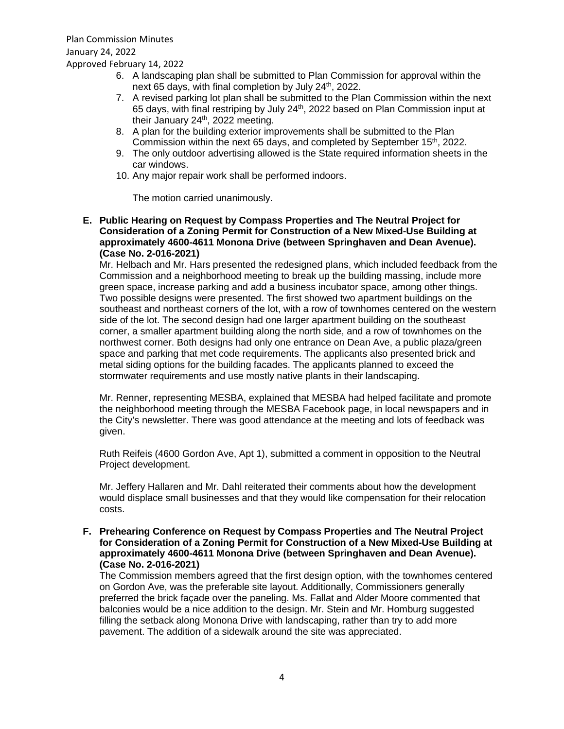- 6. A landscaping plan shall be submitted to Plan Commission for approval within the next 65 days, with final completion by July 24<sup>th</sup>, 2022.
- 7. A revised parking lot plan shall be submitted to the Plan Commission within the next 65 days, with final restriping by July  $24<sup>th</sup>$ , 2022 based on Plan Commission input at their January 24<sup>th</sup>, 2022 meeting.
- 8. A plan for the building exterior improvements shall be submitted to the Plan Commission within the next 65 days, and completed by September 15<sup>th</sup>, 2022.
- 9. The only outdoor advertising allowed is the State required information sheets in the car windows.
- 10. Any major repair work shall be performed indoors.

The motion carried unanimously.

**E. Public Hearing on Request by Compass Properties and The Neutral Project for Consideration of a Zoning Permit for Construction of a New Mixed-Use Building at approximately 4600-4611 Monona Drive (between Springhaven and Dean Avenue). (Case No. 2-016-2021)**

Mr. Helbach and Mr. Hars presented the redesigned plans, which included feedback from the Commission and a neighborhood meeting to break up the building massing, include more green space, increase parking and add a business incubator space, among other things. Two possible designs were presented. The first showed two apartment buildings on the southeast and northeast corners of the lot, with a row of townhomes centered on the western side of the lot. The second design had one larger apartment building on the southeast corner, a smaller apartment building along the north side, and a row of townhomes on the northwest corner. Both designs had only one entrance on Dean Ave, a public plaza/green space and parking that met code requirements. The applicants also presented brick and metal siding options for the building facades. The applicants planned to exceed the stormwater requirements and use mostly native plants in their landscaping.

Mr. Renner, representing MESBA, explained that MESBA had helped facilitate and promote the neighborhood meeting through the MESBA Facebook page, in local newspapers and in the City's newsletter. There was good attendance at the meeting and lots of feedback was given.

Ruth Reifeis (4600 Gordon Ave, Apt 1), submitted a comment in opposition to the Neutral Project development.

Mr. Jeffery Hallaren and Mr. Dahl reiterated their comments about how the development would displace small businesses and that they would like compensation for their relocation costs.

**F. Prehearing Conference on Request by Compass Properties and The Neutral Project for Consideration of a Zoning Permit for Construction of a New Mixed-Use Building at approximately 4600-4611 Monona Drive (between Springhaven and Dean Avenue). (Case No. 2-016-2021)**

The Commission members agreed that the first design option, with the townhomes centered on Gordon Ave, was the preferable site layout. Additionally, Commissioners generally preferred the brick façade over the paneling. Ms. Fallat and Alder Moore commented that balconies would be a nice addition to the design. Mr. Stein and Mr. Homburg suggested filling the setback along Monona Drive with landscaping, rather than try to add more pavement. The addition of a sidewalk around the site was appreciated.